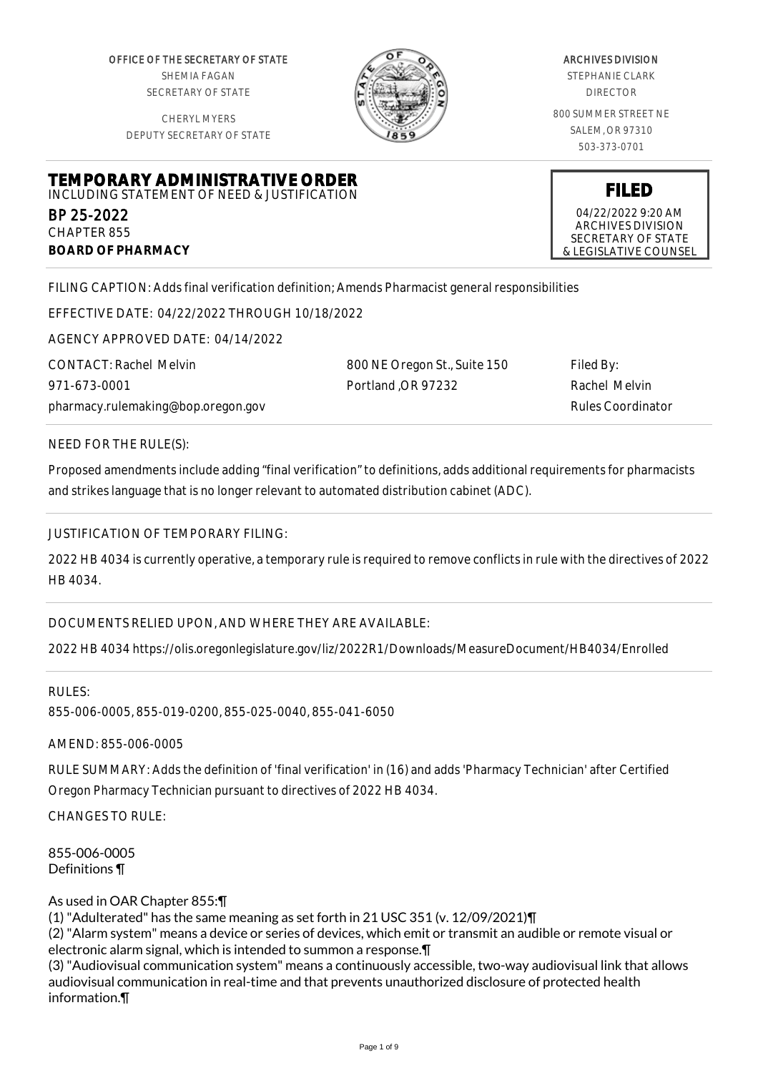OFFICE OF THE SECRETARY OF STATE SHEMIA FAGAN SECRETARY OF STATE

CHERYL MYERS DEPUTY SECRETARY OF STATE



#### ARCHIVES DIVISION

STEPHANIE CLARK DIRECTOR

800 SUMMER STREET NE SALEM, OR 97310 503-373-0701

**FILED** 04/22/2022 9:20 AM ARCHIVES DIVISION SECRETARY OF STATE & LEGISLATIVE COUNSEL

#### **TEMPORARY ADMINISTRATIVE ORDER** INCLUDING STATEMENT OF NEED & JUSTIFICATION

BP 25-2022 CHAPTER 855 **BOARD OF PHARMACY**

FILING CAPTION: Adds final verification definition; Amends Pharmacist general responsibilities

EFFECTIVE DATE: 04/22/2022 THROUGH 10/18/2022

AGENCY APPROVED DATE: 04/14/2022

CONTACT: Rachel Melvin 971-673-0001 pharmacy.rulemaking@bop.oregon.gov 800 NE Oregon St., Suite 150 Portland ,OR 97232

Filed By: Rachel Melvin Rules Coordinator

NEED FOR THE RULE(S):

Proposed amendments include adding "final verification" to definitions, adds additional requirements for pharmacists and strikes language that is no longer relevant to automated distribution cabinet (ADC).

# JUSTIFICATION OF TEMPORARY FILING:

2022 HB 4034 is currently operative, a temporary rule is required to remove conflicts in rule with the directives of 2022 HB 4034.

DOCUMENTS RELIED UPON, AND WHERE THEY ARE AVAILABLE:

2022 HB 4034 https://olis.oregonlegislature.gov/liz/2022R1/Downloads/MeasureDocument/HB4034/Enrolled

RULES: 855-006-0005, 855-019-0200, 855-025-0040, 855-041-6050

AMEND: 855-006-0005

RULE SUMMARY: Adds the definition of 'final verification' in (16) and adds 'Pharmacy Technician' after Certified Oregon Pharmacy Technician pursuant to directives of 2022 HB 4034.

CHANGES TO RULE:

855-006-0005 Definitions ¶

As used in OAR Chapter 855:¶

(1) "Adulterated" has the same meaning as set forth in 21 USC 351 (v. 12/09/2021)¶

(2) "Alarm system" means a device or series of devices, which emit or transmit an audible or remote visual or electronic alarm signal, which is intended to summon a response.¶

(3) "Audiovisual communication system" means a continuously accessible, two-way audiovisual link that allows audiovisual communication in real-time and that prevents unauthorized disclosure of protected health information.¶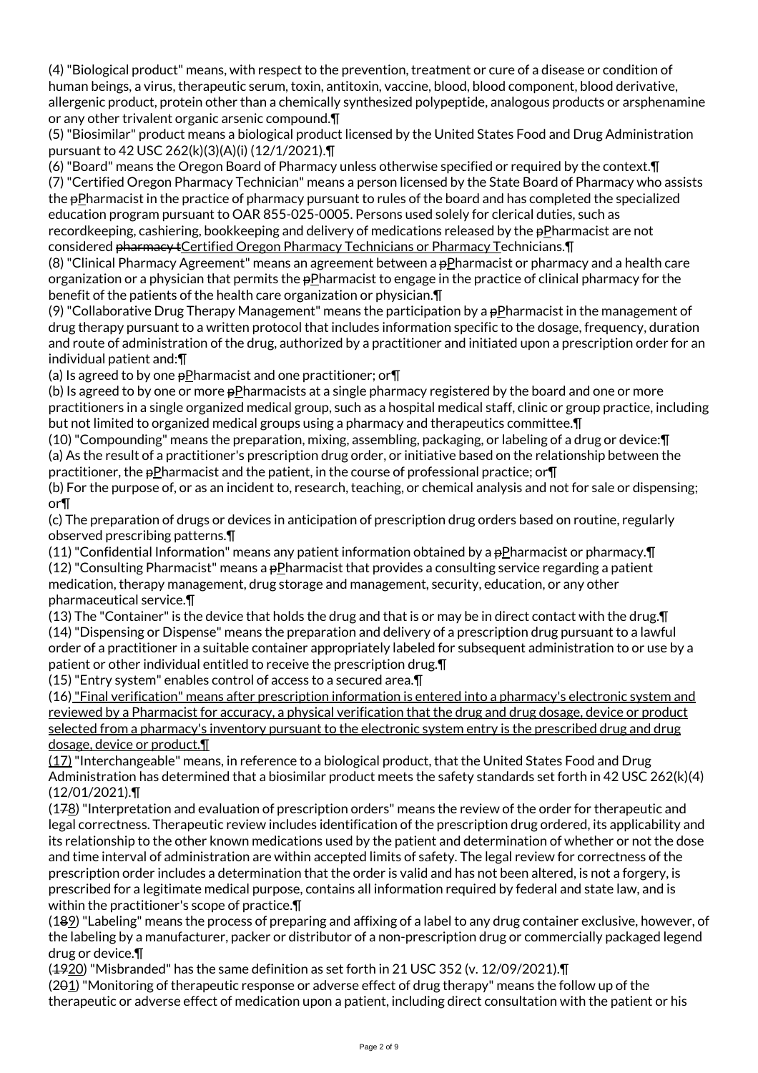(4) "Biological product" means, with respect to the prevention, treatment or cure of a disease or condition of human beings, a virus, therapeutic serum, toxin, antitoxin, vaccine, blood, blood component, blood derivative, allergenic product, protein other than a chemically synthesized polypeptide, analogous products or arsphenamine or any other trivalent organic arsenic compound.¶

(5) "Biosimilar" product means a biological product licensed by the United States Food and Drug Administration pursuant to 42 USC 262(k)(3)(A)(i) (12/1/2021).¶

(6) "Board" means the Oregon Board of Pharmacy unless otherwise specified or required by the context.¶ (7) "Certified Oregon Pharmacy Technician" means a person licensed by the State Board of Pharmacy who assists the pPharmacist in the practice of pharmacy pursuant to rules of the board and has completed the specialized education program pursuant to OAR 855-025-0005. Persons used solely for clerical duties, such as recordkeeping, cashiering, bookkeeping and delivery of medications released by the pPharmacist are not considered pharmacy + Certified Oregon Pharmacy Technicians or Pharmacy Technicians. [1]

(8) "Clinical Pharmacy Agreement" means an agreement between a  $p$ Pharmacist or pharmacy and a health care organization or a physician that permits the pPharmacist to engage in the practice of clinical pharmacy for the benefit of the patients of the health care organization or physician.¶

(9) "Collaborative Drug Therapy Management" means the participation by a pPharmacist in the management of drug therapy pursuant to a written protocol that includes information specific to the dosage, frequency, duration and route of administration of the drug, authorized by a practitioner and initiated upon a prescription order for an individual patient and:¶

(a) Is agreed to by one pPharmacist and one practitioner; or¶

(b) Is agreed to by one or more pPharmacists at a single pharmacy registered by the board and one or more practitioners in a single organized medical group, such as a hospital medical staff, clinic or group practice, including but not limited to organized medical groups using a pharmacy and therapeutics committee.¶

(10) "Compounding" means the preparation, mixing, assembling, packaging, or labeling of a drug or device:¶ (a) As the result of a practitioner's prescription drug order, or initiative based on the relationship between the practitioner, the pPharmacist and the patient, in the course of professional practice; or¶

(b) For the purpose of, or as an incident to, research, teaching, or chemical analysis and not for sale or dispensing; or¶

(c) The preparation of drugs or devices in anticipation of prescription drug orders based on routine, regularly observed prescribing patterns.¶

(11) "Confidential Information" means any patient information obtained by a pPharmacist or pharmacy.¶ (12) "Consulting Pharmacist" means a pPharmacist that provides a consulting service regarding a patient medication, therapy management, drug storage and management, security, education, or any other pharmaceutical service.¶

(13) The "Container" is the device that holds the drug and that is or may be in direct contact with the drug.¶ (14) "Dispensing or Dispense" means the preparation and delivery of a prescription drug pursuant to a lawful order of a practitioner in a suitable container appropriately labeled for subsequent administration to or use by a patient or other individual entitled to receive the prescription drug.¶

(15) "Entry system" enables control of access to a secured area.¶

(16) "Final verification" means after prescription information is entered into a pharmacy's electronic system and reviewed by a Pharmacist for accuracy, a physical verification that the drug and drug dosage, device or product selected from a pharmacy's inventory pursuant to the electronic system entry is the prescribed drug and drug dosage, device or product.¶

(17) "Interchangeable" means, in reference to a biological product, that the United States Food and Drug Administration has determined that a biosimilar product meets the safety standards set forth in 42 USC 262(k)(4) (12/01/2021).¶

(178) "Interpretation and evaluation of prescription orders" means the review of the order for therapeutic and legal correctness. Therapeutic review includes identification of the prescription drug ordered, its applicability and its relationship to the other known medications used by the patient and determination of whether or not the dose and time interval of administration are within accepted limits of safety. The legal review for correctness of the prescription order includes a determination that the order is valid and has not been altered, is not a forgery, is prescribed for a legitimate medical purpose, contains all information required by federal and state law, and is within the practitioner's scope of practice.¶

(189) "Labeling" means the process of preparing and affixing of a label to any drug container exclusive, however, of the labeling by a manufacturer, packer or distributor of a non-prescription drug or commercially packaged legend drug or device.¶

(1920) "Misbranded" has the same definition as set forth in 21 USC 352 (v. 12/09/2021).¶

(201) "Monitoring of therapeutic response or adverse effect of drug therapy" means the follow up of the therapeutic or adverse effect of medication upon a patient, including direct consultation with the patient or his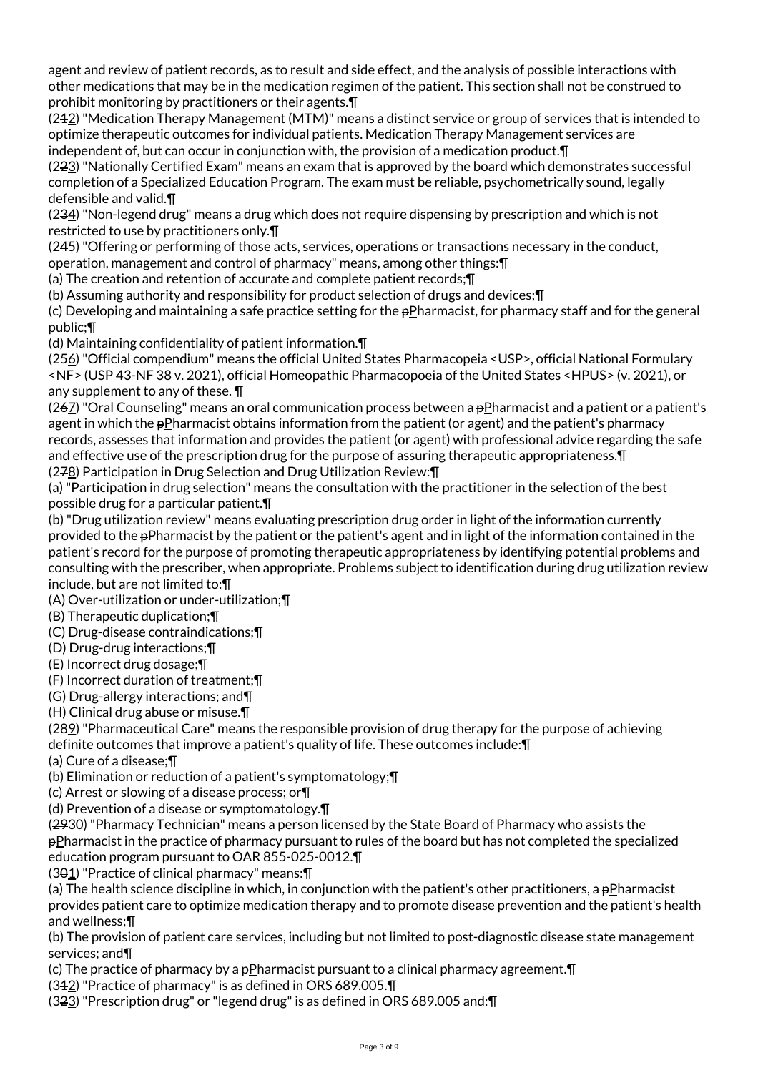agent and review of patient records, as to result and side effect, and the analysis of possible interactions with other medications that may be in the medication regimen of the patient. This section shall not be construed to prohibit monitoring by practitioners or their agents.¶

(242) "Medication Therapy Management (MTM)" means a distinct service or group of services that is intended to optimize therapeutic outcomes for individual patients. Medication Therapy Management services are independent of, but can occur in conjunction with, the provision of a medication product.¶

(223) "Nationally Certified Exam" means an exam that is approved by the board which demonstrates successful completion of a Specialized Education Program. The exam must be reliable, psychometrically sound, legally defensible and valid.¶

(234) "Non-legend drug" means a drug which does not require dispensing by prescription and which is not restricted to use by practitioners only.¶

(245) "Offering or performing of those acts, services, operations or transactions necessary in the conduct,

operation, management and control of pharmacy" means, among other things:¶

(a) The creation and retention of accurate and complete patient records;¶

(b) Assuming authority and responsibility for product selection of drugs and devices;¶

(c) Developing and maintaining a safe practice setting for the  $p$ Pharmacist, for pharmacy staff and for the general public;¶

(d) Maintaining confidentiality of patient information.¶

(256) "Official compendium" means the official United States Pharmacopeia <USP>, official National Formulary <NF> (USP 43-NF 38 v. 2021), official Homeopathic Pharmacopoeia of the United States <HPUS> (v. 2021), or any supplement to any of these. ¶

(267) "Oral Counseling" means an oral communication process between a  $p$ Pharmacist and a patient or a patient's agent in which the pPharmacist obtains information from the patient (or agent) and the patient's pharmacy records, assesses that information and provides the patient (or agent) with professional advice regarding the safe and effective use of the prescription drug for the purpose of assuring therapeutic appropriateness.¶ (278) Participation in Drug Selection and Drug Utilization Review:¶

(a) "Participation in drug selection" means the consultation with the practitioner in the selection of the best possible drug for a particular patient.¶

(b) "Drug utilization review" means evaluating prescription drug order in light of the information currently provided to the pPharmacist by the patient or the patient's agent and in light of the information contained in the patient's record for the purpose of promoting therapeutic appropriateness by identifying potential problems and consulting with the prescriber, when appropriate. Problems subject to identification during drug utilization review include, but are not limited to:¶

(A) Over-utilization or under-utilization;¶

(B) Therapeutic duplication;¶

(C) Drug-disease contraindications;¶

(D) Drug-drug interactions;¶

(E) Incorrect drug dosage;¶

(F) Incorrect duration of treatment;¶

(G) Drug-allergy interactions; and¶

(H) Clinical drug abuse or misuse.¶

(289) "Pharmaceutical Care" means the responsible provision of drug therapy for the purpose of achieving definite outcomes that improve a patient's quality of life. These outcomes include:¶

(a) Cure of a disease;¶

(b) Elimination or reduction of a patient's symptomatology;¶

(c) Arrest or slowing of a disease process; or¶

(d) Prevention of a disease or symptomatology.¶

(2930) "Pharmacy Technician" means a person licensed by the State Board of Pharmacy who assists the pPharmacist in the practice of pharmacy pursuant to rules of the board but has not completed the specialized education program pursuant to OAR 855-025-0012.¶

(301) "Practice of clinical pharmacy" means:¶

(a) The health science discipline in which, in conjunction with the patient's other practitioners, a  $\frac{1}{2}P$  pPharmacist provides patient care to optimize medication therapy and to promote disease prevention and the patient's health and wellness;¶

(b) The provision of patient care services, including but not limited to post-diagnostic disease state management services; and¶

(c) The practice of pharmacy by a pPharmacist pursuant to a clinical pharmacy agreement.¶

(312) "Practice of pharmacy" is as defined in ORS 689.005.¶

(323) "Prescription drug" or "legend drug" is as defined in ORS 689.005 and:¶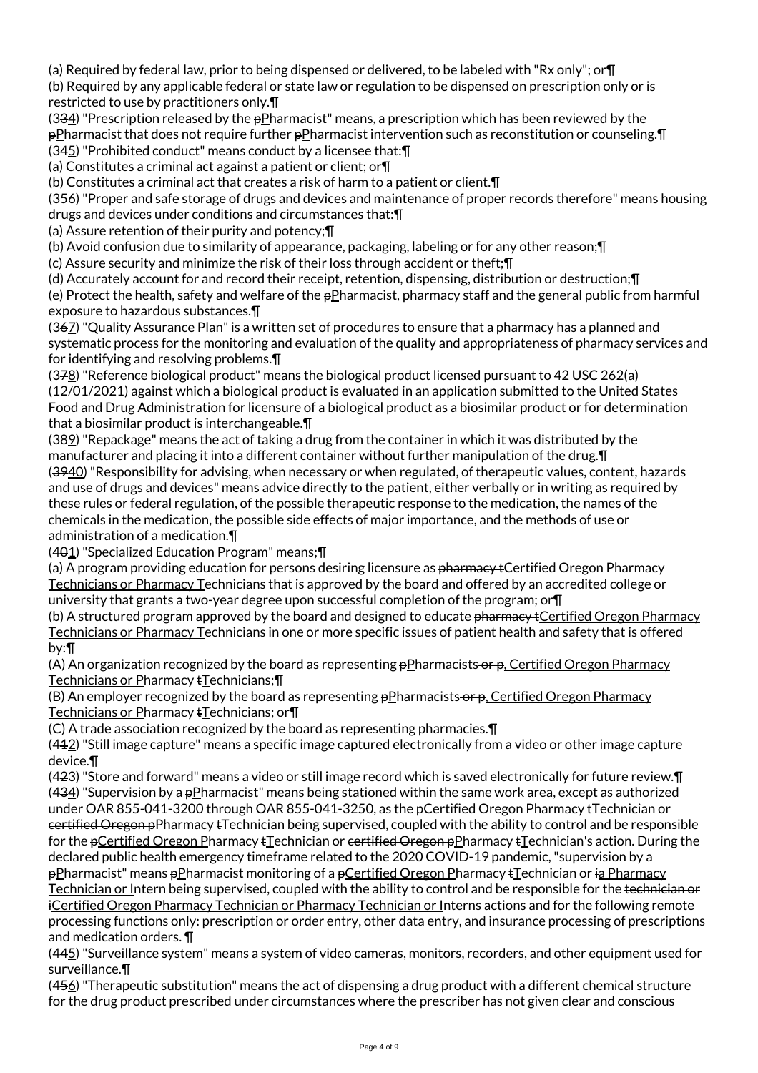(a) Required by federal law, prior to being dispensed or delivered, to be labeled with "Rx only"; or¶

(b) Required by any applicable federal or state law or regulation to be dispensed on prescription only or is restricted to use by practitioners only.¶

(334) "Prescription released by the  $p$ Pharmacist" means, a prescription which has been reviewed by the pPharmacist that does not require further pPharmacist intervention such as reconstitution or counseling.¶ (345) "Prohibited conduct" means conduct by a licensee that:¶

(a) Constitutes a criminal act against a patient or client; or¶

(b) Constitutes a criminal act that creates a risk of harm to a patient or client.¶

(356) "Proper and safe storage of drugs and devices and maintenance of proper records therefore" means housing drugs and devices under conditions and circumstances that:¶

(a) Assure retention of their purity and potency;¶

(b) Avoid confusion due to similarity of appearance, packaging, labeling or for any other reason;¶

(c) Assure security and minimize the risk of their loss through accident or theft;¶

(d) Accurately account for and record their receipt, retention, dispensing, distribution or destruction;¶

(e) Protect the health, safety and welfare of the  $pP$ harmacist, pharmacy staff and the general public from harmful exposure to hazardous substances.¶

(367) "Quality Assurance Plan" is a written set of procedures to ensure that a pharmacy has a planned and systematic process for the monitoring and evaluation of the quality and appropriateness of pharmacy services and for identifying and resolving problems.¶

(378) "Reference biological product" means the biological product licensed pursuant to 42 USC 262(a) (12/01/2021) against which a biological product is evaluated in an application submitted to the United States Food and Drug Administration for licensure of a biological product as a biosimilar product or for determination that a biosimilar product is interchangeable.¶

(389) "Repackage" means the act of taking a drug from the container in which it was distributed by the manufacturer and placing it into a different container without further manipulation of the drug.¶ (3940) "Responsibility for advising, when necessary or when regulated, of therapeutic values, content, hazards and use of drugs and devices" means advice directly to the patient, either verbally or in writing as required by these rules or federal regulation, of the possible therapeutic response to the medication, the names of the chemicals in the medication, the possible side effects of major importance, and the methods of use or administration of a medication.¶

(401) "Specialized Education Program" means;¶

(a) A program providing education for persons desiring licensure as <del>pharmacy t</del>Certified Oregon Pharmacy Technicians or Pharmacy Technicians that is approved by the board and offered by an accredited college or university that grants a two-year degree upon successful completion of the program; or¶

(b) A structured program approved by the board and designed to educate pharmacy + Certified Oregon Pharmacy Technicians or Pharmacy Technicians in one or more specific issues of patient health and safety that is offered by:¶

(A) An organization recognized by the board as representing  $\frac{1}{2}P$ harmacists or  $\frac{1}{2}P$ , Certified Oregon Pharmacy Technicians or Pharmacy tTechnicians;¶

(B) An employer recognized by the board as representing  $\frac{1}{2}$ Pharmacists  $\frac{1}{2}$ , Certified Oregon Pharmacy Technicians or Pharmacy tTechnicians; or¶

(C) A trade association recognized by the board as representing pharmacies.¶

 $(442)$  "Still image capture" means a specific image captured electronically from a video or other image capture device.¶

(423) "Store and forward" means a video or still image record which is saved electronically for future review.¶ (434) "Supervision by a pPharmacist" means being stationed within the same work area, except as authorized under OAR 855-041-3200 through OAR 855-041-3250, as the pCertified Oregon Pharmacy tTechnician or certified Oregon pPharmacy tTechnician being supervised, coupled with the ability to control and be responsible for the pCertified Oregon Pharmacy tTechnician or certified Oregon pPharmacy tTechnician's action. During the declared public health emergency timeframe related to the 2020 COVID-19 pandemic, "supervision by a pPharmacist" means pPharmacist monitoring of a pCertified Oregon Pharmacy tTechnician or ia Pharmacy Technician or Intern being supervised, coupled with the ability to control and be responsible for the technician or iCertified Oregon Pharmacy Technician or Pharmacy Technician or Interns actions and for the following remote processing functions only: prescription or order entry, other data entry, and insurance processing of prescriptions and medication orders. ¶

(445) "Surveillance system" means a system of video cameras, monitors, recorders, and other equipment used for surveillance.¶

(456) "Therapeutic substitution" means the act of dispensing a drug product with a different chemical structure for the drug product prescribed under circumstances where the prescriber has not given clear and conscious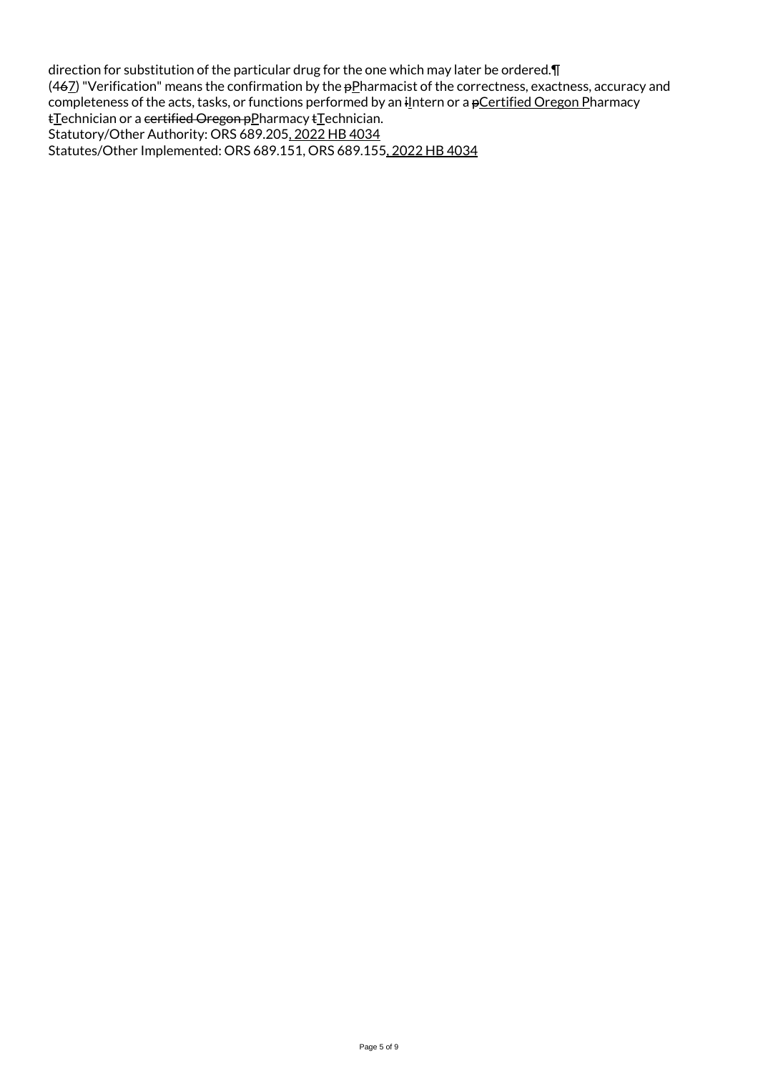direction for substitution of the particular drug for the one which may later be ordered.¶ (46 $Z$ ) "Verification" means the confirmation by the  $p$ Pharmacist of the correctness, exactness, accuracy and completeness of the acts, tasks, or functions performed by an ilntern or a pCertified Oregon Pharmacy tTechnician or a certified Oregon pPharmacy tTechnician. Statutory/Other Authority: ORS 689.205, 2022 HB 4034 Statutes/Other Implemented: ORS 689.151, ORS 689.155, 2022 HB 4034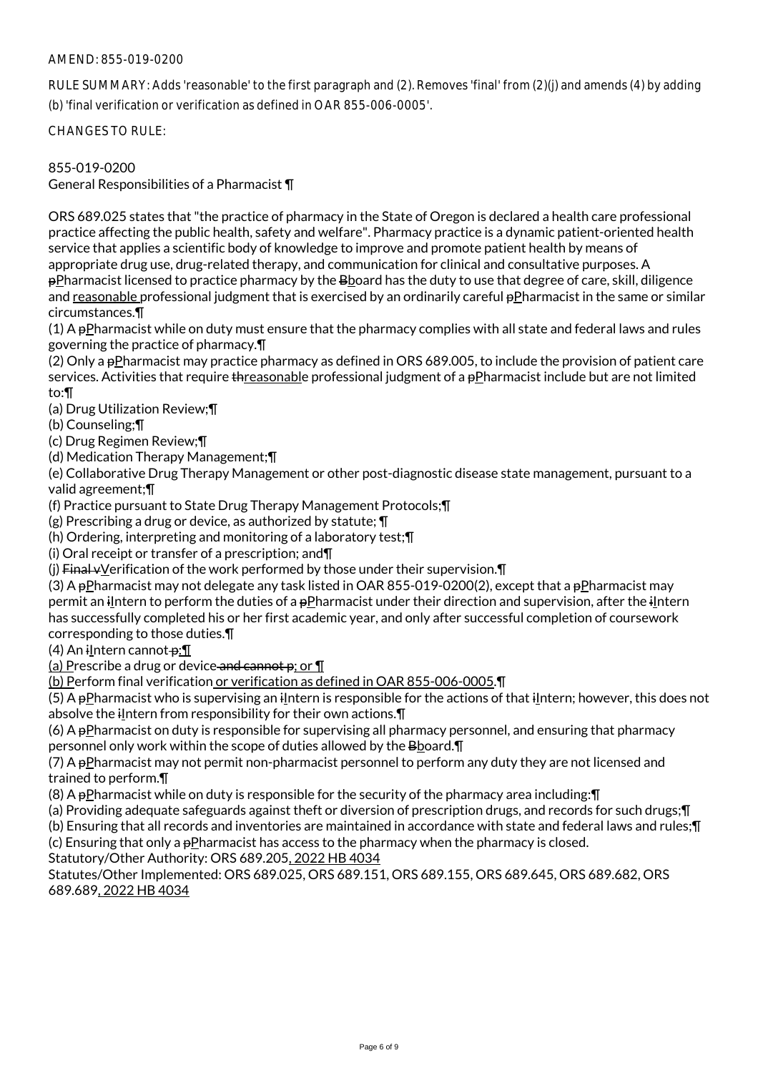## AMEND: 855-019-0200

RULE SUMMARY: Adds 'reasonable' to the first paragraph and (2). Removes 'final' from (2)(j) and amends (4) by adding (b) 'final verification or verification as defined in OAR 855-006-0005'.

CHANGES TO RULE:

#### 855-019-0200

General Responsibilities of a Pharmacist ¶

ORS 689.025 states that "the practice of pharmacy in the State of Oregon is declared a health care professional practice affecting the public health, safety and welfare". Pharmacy practice is a dynamic patient-oriented health service that applies a scientific body of knowledge to improve and promote patient health by means of appropriate drug use, drug-related therapy, and communication for clinical and consultative purposes. A

pPharmacist licensed to practice pharmacy by the Bboard has the duty to use that degree of care, skill, diligence and reasonable professional judgment that is exercised by an ordinarily careful pPharmacist in the same or similar circumstances.¶

(1) A pPharmacist while on duty must ensure that the pharmacy complies with all state and federal laws and rules governing the practice of pharmacy.¶

(2) Only a pPharmacist may practice pharmacy as defined in ORS 689.005, to include the provision of patient care services. Activities that require threasonable professional judgment of a pPharmacist include but are not limited to:¶

(a) Drug Utilization Review;¶

(b) Counseling;¶

(c) Drug Regimen Review;¶

(d) Medication Therapy Management;¶

(e) Collaborative Drug Therapy Management or other post-diagnostic disease state management, pursuant to a valid agreement;¶

(f) Practice pursuant to State Drug Therapy Management Protocols;¶

(g) Prescribing a drug or device, as authorized by statute; ¶

(h) Ordering, interpreting and monitoring of a laboratory test;¶

(i) Oral receipt or transfer of a prescription; and¶

(j) Final  $v$ Verification of the work performed by those under their supervision. $\P$ 

(3) A pPharmacist may not delegate any task listed in OAR 855-019-0200(2), except that a pPharmacist may permit an iIntern to perform the duties of a pPharmacist under their direction and supervision, after the iIntern has successfully completed his or her first academic year, and only after successful completion of coursework corresponding to those duties.¶

 $(4)$  An ilntern cannot  $\theta$ : T

(a) Prescribe a drug or device and cannot  $p$ ; or  $\P$ 

(b) Perform final verification or verification as defined in OAR 855-006-0005.¶

 $(5)$  A pPharmacist who is supervising an iIntern is responsible for the actions of that iIntern; however, this does not absolve the  $i$ Intern from responsibility for their own actions. $\P$ 

(6) A  $p$ Pharmacist on duty is responsible for supervising all pharmacy personnel, and ensuring that pharmacy personnel only work within the scope of duties allowed by the Bboard.¶

(7) A pPharmacist may not permit non-pharmacist personnel to perform any duty they are not licensed and trained to perform.¶

(8) A  $p$ Pharmacist while on duty is responsible for the security of the pharmacy area including:  $\P$ 

(a) Providing adequate safeguards against theft or diversion of prescription drugs, and records for such drugs;¶

(b) Ensuring that all records and inventories are maintained in accordance with state and federal laws and rules;¶

(c) Ensuring that only a  $p$ Pharmacist has access to the pharmacy when the pharmacy is closed.

Statutory/Other Authority: ORS 689.205, 2022 HB 4034

Statutes/Other Implemented: ORS 689.025, ORS 689.151, ORS 689.155, ORS 689.645, ORS 689.682, ORS 689.689, 2022 HB 4034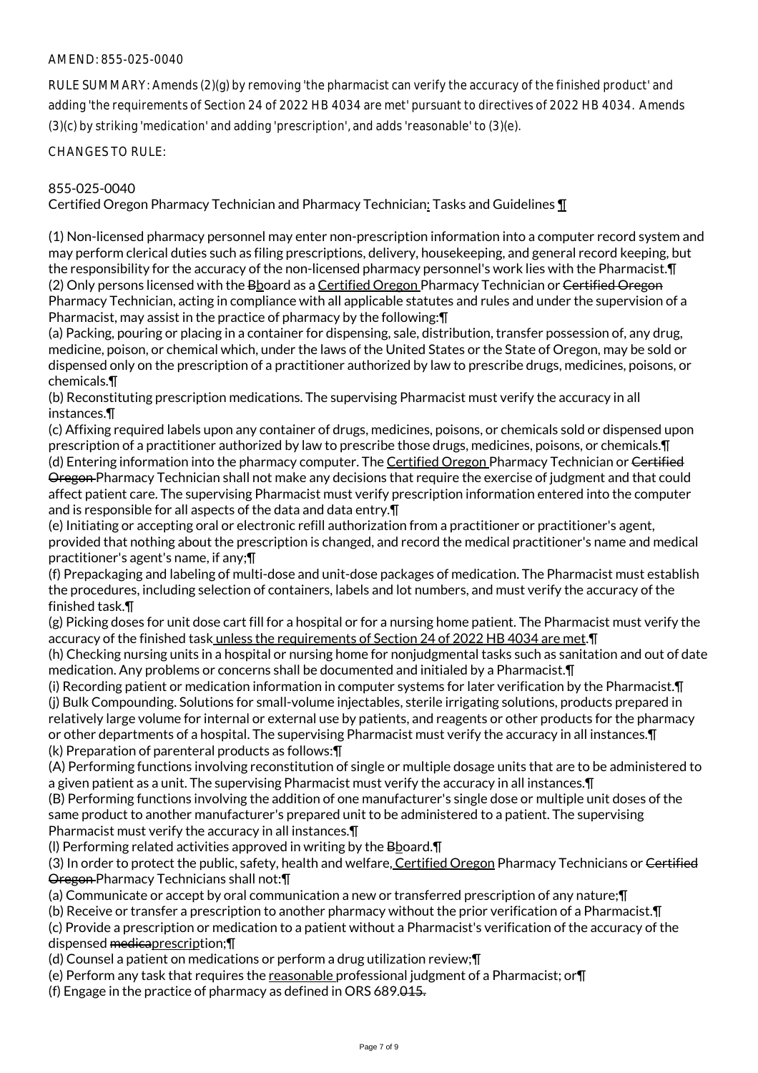## AMEND: 855-025-0040

RULE SUMMARY: Amends (2)(g) by removing 'the pharmacist can verify the accuracy of the finished product' and adding 'the requirements of Section 24 of 2022 HB 4034 are met' pursuant to directives of 2022 HB 4034. Amends (3)(c) by striking 'medication' and adding 'prescription', and adds 'reasonable' to (3)(e).

CHANGES TO RULE:

#### 855-025-0040

Certified Oregon Pharmacy Technician and Pharmacy Technician: Tasks and Guidelines ¶

(1) Non-licensed pharmacy personnel may enter non-prescription information into a computer record system and may perform clerical duties such as filing prescriptions, delivery, housekeeping, and general record keeping, but the responsibility for the accuracy of the non-licensed pharmacy personnel's work lies with the Pharmacist.¶ (2) Only persons licensed with the Bboard as a Certified Oregon Pharmacy Technician or Certified Oregon Pharmacy Technician, acting in compliance with all applicable statutes and rules and under the supervision of a Pharmacist, may assist in the practice of pharmacy by the following:¶

(a) Packing, pouring or placing in a container for dispensing, sale, distribution, transfer possession of, any drug, medicine, poison, or chemical which, under the laws of the United States or the State of Oregon, may be sold or dispensed only on the prescription of a practitioner authorized by law to prescribe drugs, medicines, poisons, or chemicals.¶

(b) Reconstituting prescription medications. The supervising Pharmacist must verify the accuracy in all instances.¶

(c) Affixing required labels upon any container of drugs, medicines, poisons, or chemicals sold or dispensed upon prescription of a practitioner authorized by law to prescribe those drugs, medicines, poisons, or chemicals.¶ (d) Entering information into the pharmacy computer. The Certified Oregon Pharmacy Technician or Certified Oregon Pharmacy Technician shall not make any decisions that require the exercise of judgment and that could affect patient care. The supervising Pharmacist must verify prescription information entered into the computer and is responsible for all aspects of the data and data entry.¶

(e) Initiating or accepting oral or electronic refill authorization from a practitioner or practitioner's agent, provided that nothing about the prescription is changed, and record the medical practitioner's name and medical practitioner's agent's name, if any;¶

(f) Prepackaging and labeling of multi-dose and unit-dose packages of medication. The Pharmacist must establish the procedures, including selection of containers, labels and lot numbers, and must verify the accuracy of the finished task.¶

(g) Picking doses for unit dose cart fill for a hospital or for a nursing home patient. The Pharmacist must verify the accuracy of the finished task unless the requirements of Section 24 of 2022 HB 4034 are met.¶

(h) Checking nursing units in a hospital or nursing home for nonjudgmental tasks such as sanitation and out of date medication. Any problems or concerns shall be documented and initialed by a Pharmacist.¶

(i) Recording patient or medication information in computer systems for later verification by the Pharmacist.¶ (j) Bulk Compounding. Solutions for small-volume injectables, sterile irrigating solutions, products prepared in relatively large volume for internal or external use by patients, and reagents or other products for the pharmacy or other departments of a hospital. The supervising Pharmacist must verify the accuracy in all instances.¶ (k) Preparation of parenteral products as follows:¶

(A) Performing functions involving reconstitution of single or multiple dosage units that are to be administered to a given patient as a unit. The supervising Pharmacist must verify the accuracy in all instances.¶

(B) Performing functions involving the addition of one manufacturer's single dose or multiple unit doses of the same product to another manufacturer's prepared unit to be administered to a patient. The supervising Pharmacist must verify the accuracy in all instances.¶

(l) Performing related activities approved in writing by the Bboard.¶

(3) In order to protect the public, safety, health and welfare, Certified Oregon Pharmacy Technicians or Certified Oregon Pharmacy Technicians shall not:¶

(a) Communicate or accept by oral communication a new or transferred prescription of any nature;¶

(b) Receive or transfer a prescription to another pharmacy without the prior verification of a Pharmacist.¶

(c) Provide a prescription or medication to a patient without a Pharmacist's verification of the accuracy of the dispensed medicaprescription;¶

(d) Counsel a patient on medications or perform a drug utilization review;¶

(e) Perform any task that requires the reasonable professional judgment of a Pharmacist; or¶

(f) Engage in the practice of pharmacy as defined in ORS 689.015.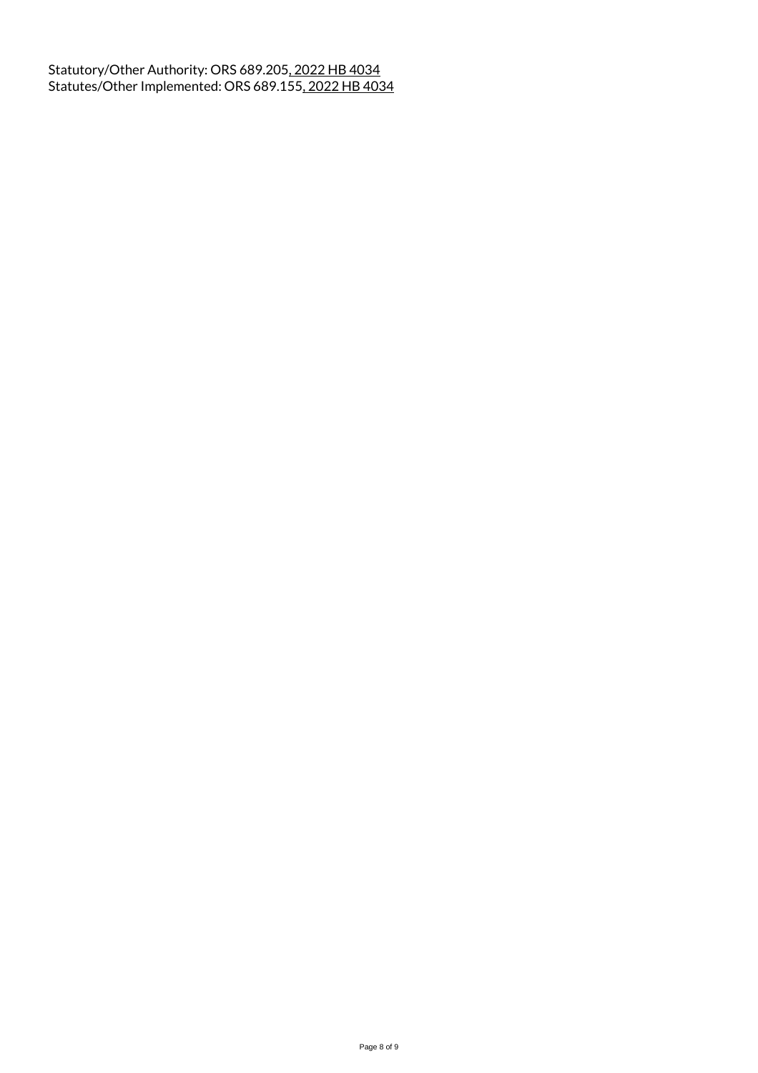Statutory/Other Authority: ORS 689.205, 2022 HB 4034 Statutes/Other Implemented: ORS 689.155, 2022 HB 4034